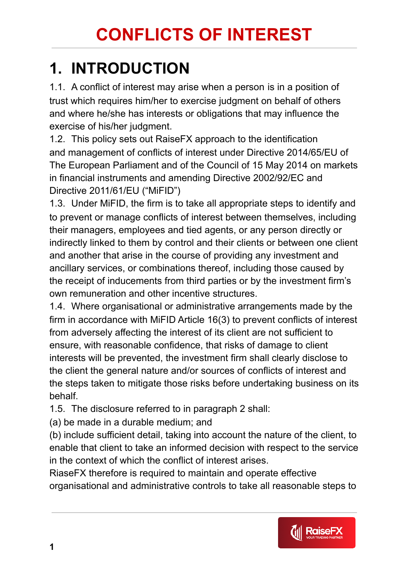#### **1. INTRODUCTION**

1.1. A conflict of interest may arise when a person is in a position of trust which requires him/her to exercise judgment on behalf of others and where he/she has interests or obligations that may influence the exercise of his/her judgment.

1.2. This policy sets out RaiseFX approach to the identification and management of conflicts of interest under Directive 2014/65/EU of The European Parliament and of the Council of 15 May 2014 on markets in financial instruments and amending Directive 2002/92/EC and Directive 2011/61/EU ("MiFID")

1.3. Under MiFID, the firm is to take all appropriate steps to identify and to prevent or manage conflicts of interest between themselves, including their managers, employees and tied agents, or any person directly or indirectly linked to them by control and their clients or between one client and another that arise in the course of providing any investment and ancillary services, or combinations thereof, including those caused by the receipt of inducements from third parties or by the investment firm's own remuneration and other incentive structures.

1.4. Where organisational or administrative arrangements made by the firm in accordance with MiFID Article 16(3) to prevent conflicts of interest from adversely affecting the interest of its client are not sufficient to ensure, with reasonable confidence, that risks of damage to client interests will be prevented, the investment firm shall clearly disclose to the client the general nature and/or sources of conflicts of interest and the steps taken to mitigate those risks before undertaking business on its behalf.

1.5. The disclosure referred to in paragraph 2 shall:

(a) be made in a durable medium; and

(b) include sufficient detail, taking into account the nature of the client, to enable that client to take an informed decision with respect to the service in the context of which the conflict of interest arises.

RiaseFX therefore is required to maintain and operate effective organisational and administrative controls to take all reasonable steps to

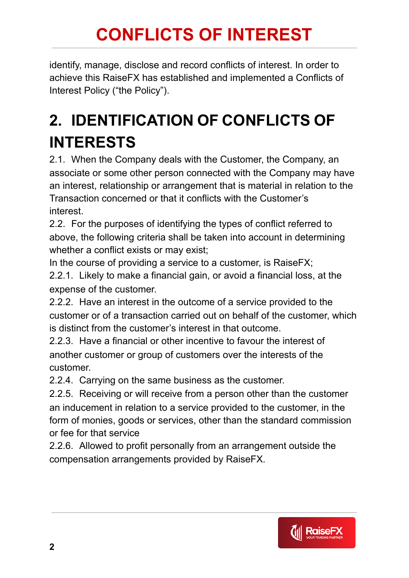identify, manage, disclose and record conflicts of interest. In order to achieve this RaiseFX has established and implemented a Conflicts of Interest Policy ("the Policy").

#### **2. IDENTIFICATION OF CONFLICTS OF INTERESTS**

2.1. When the Company deals with the Customer, the Company, an associate or some other person connected with the Company may have an interest, relationship or arrangement that is material in relation to the Transaction concerned or that it conflicts with the Customer's interest.

2.2. For the purposes of identifying the types of conflict referred to above, the following criteria shall be taken into account in determining whether a conflict exists or may exist;

In the course of providing a service to a customer, is RaiseFX; 2.2.1. Likely to make a financial gain, or avoid a financial loss, at the expense of the customer.

2.2.2. Have an interest in the outcome of a service provided to the customer or of a transaction carried out on behalf of the customer, which is distinct from the customer's interest in that outcome.

2.2.3. Have a financial or other incentive to favour the interest of another customer or group of customers over the interests of the customer.

2.2.4. Carrying on the same business as the customer.

2.2.5. Receiving or will receive from a person other than the customer an inducement in relation to a service provided to the customer, in the form of monies, goods or services, other than the standard commission or fee for that service

2.2.6. Allowed to profit personally from an arrangement outside the compensation arrangements provided by RaiseFX.

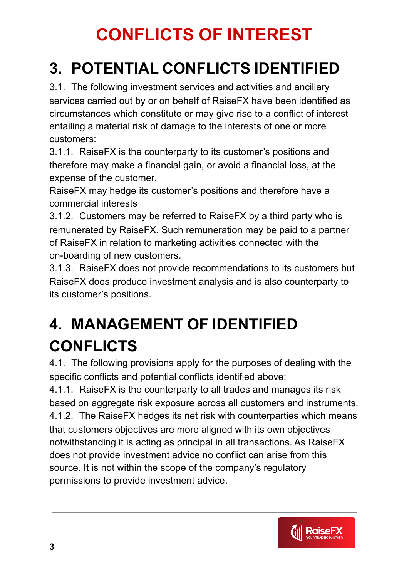#### **3. POTENTIAL CONFLICTS IDENTIFIED**

3.1. The following investment services and activities and ancillary services carried out by or on behalf of RaiseFX have been identified as circumstances which constitute or may give rise to a conflict of interest entailing a material risk of damage to the interests of one or more customers:

3.1.1. RaiseFX is the counterparty to its customer's positions and therefore may make a financial gain, or avoid a financial loss, at the expense of the customer.

RaiseFX may hedge its customer's positions and therefore have a commercial interests

3.1.2. Customers may be referred to RaiseFX by a third party who is remunerated by RaiseFX. Such remuneration may be paid to a partner of RaiseFX in relation to marketing activities connected with the on-boarding of new customers.

3.1.3. RaiseFX does not provide recommendations to its customers but RaiseFX does produce investment analysis and is also counterparty to its customer's positions.

### **4. MANAGEMENT OF IDENTIFIED CONFLICTS**

4.1. The following provisions apply for the purposes of dealing with the specific conflicts and potential conflicts identified above:

4.1.1. RaiseFX is the counterparty to all trades and manages its risk based on aggregate risk exposure across all customers and instruments. 4.1.2. The RaiseFX hedges its net risk with counterparties which means that customers objectives are more aligned with its own objectives notwithstanding it is acting as principal in all transactions. As RaiseFX does not provide investment advice no conflict can arise from this source. It is not within the scope of the company's regulatory permissions to provide investment advice.

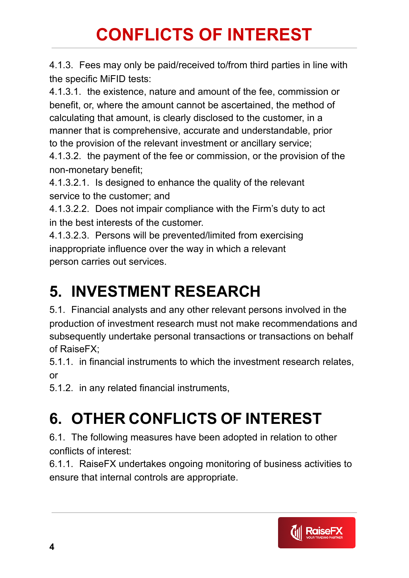4.1.3. Fees may only be paid/received to/from third parties in line with the specific MiFID tests:

4.1.3.1. the existence, nature and amount of the fee, commission or benefit, or, where the amount cannot be ascertained, the method of calculating that amount, is clearly disclosed to the customer, in a manner that is comprehensive, accurate and understandable, prior to the provision of the relevant investment or ancillary service;

4.1.3.2. the payment of the fee or commission, or the provision of the non-monetary benefit;

4.1.3.2.1. Is designed to enhance the quality of the relevant service to the customer; and

4.1.3.2.2. Does not impair compliance with the Firm's duty to act in the best interests of the customer.

4.1.3.2.3. Persons will be prevented/limited from exercising inappropriate influence over the way in which a relevant person carries out services.

### **5. INVESTMENT RESEARCH**

5.1. Financial analysts and any other relevant persons involved in the production of investment research must not make recommendations and subsequently undertake personal transactions or transactions on behalf of RaiseFX;

5.1.1. in financial instruments to which the investment research relates, or

5.1.2. in any related financial instruments,

# **6. OTHER CONFLICTS OF INTEREST**

6.1. The following measures have been adopted in relation to other conflicts of interest:

6.1.1. RaiseFX undertakes ongoing monitoring of business activities to ensure that internal controls are appropriate.